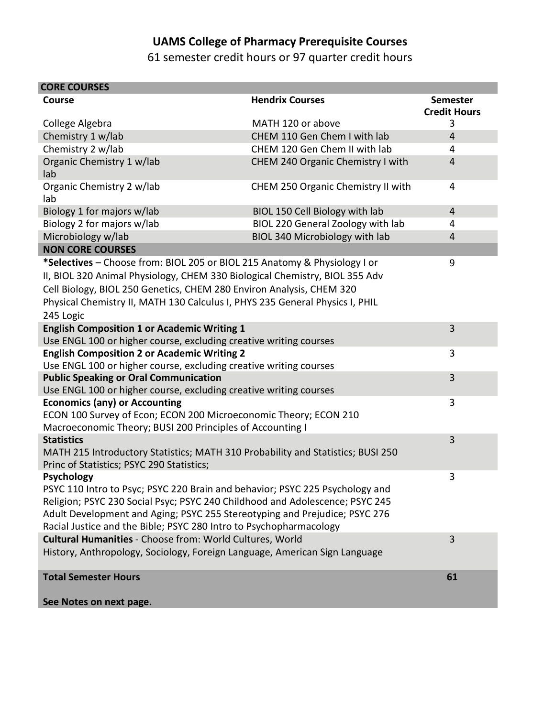## **UAMS College of Pharmacy Prerequisite Courses**

61 semester credit hours or 97 quarter credit hours

| <b>CORE COURSES</b>                                                                                                                                                                                                                                                                                                                   |                                    |                                        |
|---------------------------------------------------------------------------------------------------------------------------------------------------------------------------------------------------------------------------------------------------------------------------------------------------------------------------------------|------------------------------------|----------------------------------------|
| Course                                                                                                                                                                                                                                                                                                                                | <b>Hendrix Courses</b>             | <b>Semester</b><br><b>Credit Hours</b> |
| College Algebra                                                                                                                                                                                                                                                                                                                       | MATH 120 or above                  | 3                                      |
| Chemistry 1 w/lab                                                                                                                                                                                                                                                                                                                     | CHEM 110 Gen Chem I with lab       | 4                                      |
| Chemistry 2 w/lab                                                                                                                                                                                                                                                                                                                     | CHEM 120 Gen Chem II with lab      | 4                                      |
| Organic Chemistry 1 w/lab<br>lab                                                                                                                                                                                                                                                                                                      | CHEM 240 Organic Chemistry I with  | $\overline{4}$                         |
| Organic Chemistry 2 w/lab<br>lab                                                                                                                                                                                                                                                                                                      | CHEM 250 Organic Chemistry II with | 4                                      |
| Biology 1 for majors w/lab                                                                                                                                                                                                                                                                                                            | BIOL 150 Cell Biology with lab     | $\overline{4}$                         |
| Biology 2 for majors w/lab                                                                                                                                                                                                                                                                                                            | BIOL 220 General Zoology with lab  | 4                                      |
| Microbiology w/lab                                                                                                                                                                                                                                                                                                                    | BIOL 340 Microbiology with lab     | 4                                      |
| <b>NON CORE COURSES</b>                                                                                                                                                                                                                                                                                                               |                                    |                                        |
| *Selectives - Choose from: BIOL 205 or BIOL 215 Anatomy & Physiology I or<br>II, BIOL 320 Animal Physiology, CHEM 330 Biological Chemistry, BIOL 355 Adv<br>Cell Biology, BIOL 250 Genetics, CHEM 280 Environ Analysis, CHEM 320<br>Physical Chemistry II, MATH 130 Calculus I, PHYS 235 General Physics I, PHIL<br>245 Logic         |                                    | 9                                      |
| <b>English Composition 1 or Academic Writing 1</b>                                                                                                                                                                                                                                                                                    |                                    | 3                                      |
| Use ENGL 100 or higher course, excluding creative writing courses                                                                                                                                                                                                                                                                     |                                    |                                        |
| <b>English Composition 2 or Academic Writing 2</b><br>Use ENGL 100 or higher course, excluding creative writing courses                                                                                                                                                                                                               |                                    | 3                                      |
| <b>Public Speaking or Oral Communication</b><br>Use ENGL 100 or higher course, excluding creative writing courses                                                                                                                                                                                                                     |                                    | 3                                      |
| <b>Economics (any) or Accounting</b><br>ECON 100 Survey of Econ; ECON 200 Microeconomic Theory; ECON 210<br>Macroeconomic Theory; BUSI 200 Principles of Accounting I                                                                                                                                                                 |                                    | 3                                      |
| <b>Statistics</b><br>MATH 215 Introductory Statistics; MATH 310 Probability and Statistics; BUSI 250<br>Princ of Statistics; PSYC 290 Statistics;                                                                                                                                                                                     |                                    | 3                                      |
| <b>Psychology</b><br>PSYC 110 Intro to Psyc; PSYC 220 Brain and behavior; PSYC 225 Psychology and<br>Religion; PSYC 230 Social Psyc; PSYC 240 Childhood and Adolescence; PSYC 245<br>Adult Development and Aging; PSYC 255 Stereotyping and Prejudice; PSYC 276<br>Racial Justice and the Bible; PSYC 280 Intro to Psychopharmacology |                                    | 3                                      |
| Cultural Humanities - Choose from: World Cultures, World<br>History, Anthropology, Sociology, Foreign Language, American Sign Language                                                                                                                                                                                                |                                    | 3                                      |
| <b>Total Semester Hours</b><br>Soo Notos on novt nago                                                                                                                                                                                                                                                                                 |                                    | 61                                     |

**See Notes on next page.**